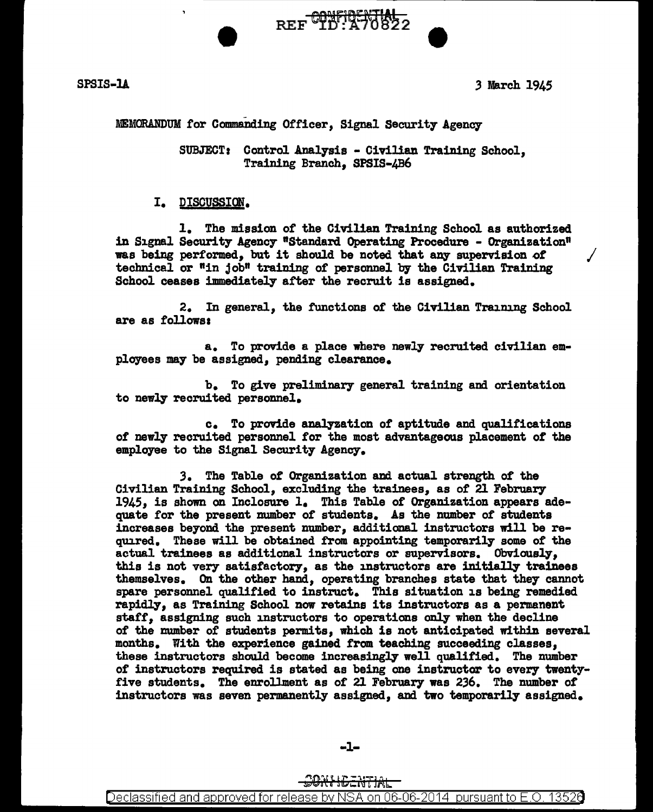

SPSIS-14 3 March 1945

### MEMORANDUM for Commanding Officer, Signal Security Agency

SUBJECT: Control Analysis - Civilian Training School. Training Branch, SPSIS-4B6

REF TO THE 2

#### I. DISCUSSION.

1. The mission of the Civilian Training School as authorized in Signal Security Agency "Standard Operating Procedure - Organization" was being performed, but it should be noted that any supervision of technical or "in job" training of personnel by the Civilian Training School ceases immediately after the recruit is assigned.

2. In general, the functions of the Civilian Training School are as follows:

a. To provide a place where newly recruited civilian employees ma7 be assigned, pending clearance.

b. To give preliminary general training and orientation to newly recruited personnel.

c. To provide amlyzation of' aptitude and qualifications *ot* newly' recruited personnel for the most advantageous placement of the employee to the Signal Security Agency.

*3.* The Table of Organization and actual strength of the 1945, is shown on Inclosure 1. This Table of Organization appears adequate for the present number of students. As the number of students increases be7ond the present number, additional instructors will be required. These will be obtained from appointing temporarily some of the actual trainees as additional instructors or supervisors. Obviously', this is not very satisfactory, as the instructors are initially trainees themselves. On the other hand, operating branches state that they cannot spare personnel qualified to instruct. This situation is being remedied rapidly, as Training School now retains its instructors as a permanent staff, assigning such instructors to operations only when the decline of the number of students permits, which is not anticipated within several months. With the experience gained from teaching succeeding classes, these instructors should become increasingly' well qualified. The number of instructors required is stated as being one instructor to every twentyfive students. The enrollment as of 21 February was 236. The number of instructors was seven permanently assigned, and two temporarily' assigned.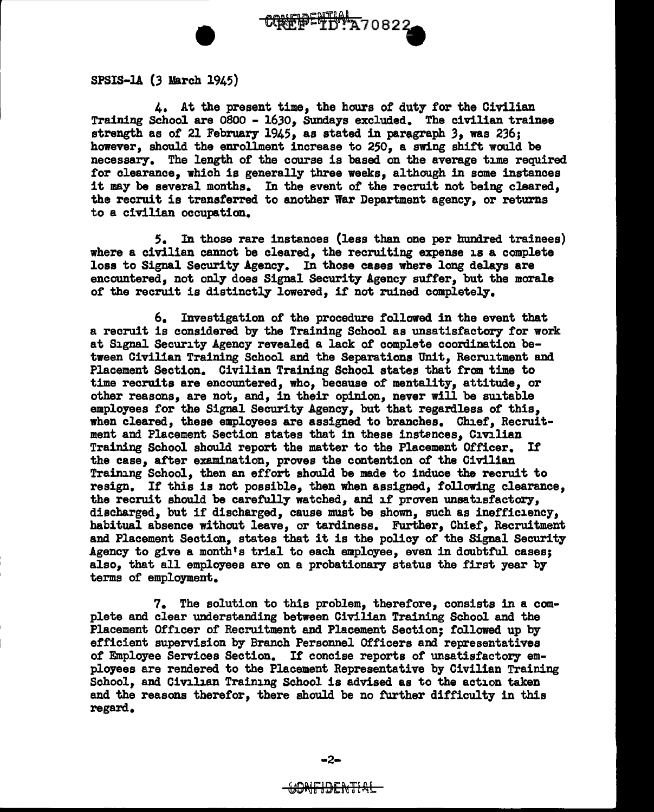SPSIS·ll (3 March 1945)

4. At the present time, the hours of duty for the Civilian Training School are 0800 - 1630, Sundays excluded. The civilian trainee strength as of 21 February 1945, as stated in paragraph 3, was 236; however, should the enrollment increase to 250, a swing shift would be necessary. The length of the course is based on the average time required for clearance, which is generally three weeks, although in some instances it may be several months. In the event of the recruit not being cleared. the recruit is transferred to another War Department agency, or returns to a civilian occupation.

CONFIDETIN' A70822

5. In those rare instances (less than one per hundred trainees) where a civilian cannot be cleared, the recruiting expense is a complete loss to Signal Security Agency. In those cases where long delays are encountered, not only does Signal Security Agency suffer, but the morale of the recruit is distinctly lowered, if not ruined completely.

6. Investigation of the procedure followed in the event that a recruit is considered by' the Training School as unsatisfactory for work at Signal Security Agency revealed a lack of complete coordination between Civilian Training School and the Separations Unit, Recruitment and Placement Section. Civilian Training School states that from time to time recruits are encountered, who, because of mentality, attitude, or other reasons, are not, and, in their opinion, never will be suitable employees for the Signal Security Agency, but that regardless of this, when cleared, these employees are assigned to branches. Chief, Recruitment and Placement Section states that in these instsnces, Civilian Training School should report the matter to the Placement Officer. If the case, after examination, proves the contention of the Civilian Training School, then an effort should be made to induce the recruit to resign. If this is not possible, then when assigned, following clearance, the recruit should be carefully watched, and if proven unsatisfactory, discharged, but if discharged, cause must be shown, such as inefficiency, habitual absence without leave, or tardiness. Further, Chief, Recruitment and Placement Section, states that it is the policy of the Signal Security Agency to give a month's trial to each employee, even in doubtful cases; also, that all employees are on a probationary status the first year by terms or employment.

7. The solution to this problem, therefore, consists in a complete and clear understanding between Civilian Training School and the Placement Officer of Recruitment and Placement Section; followed up by efficient supervision by Branch Personnel Officers and representatives of Employee Services Section. If concise reports of unsatisfactory employees are rendered to the Placement Representative by Civilian Training School, and Civilian Training School is advised as to the action taken and the reasons therefor, there should be no further difficulty in this regard.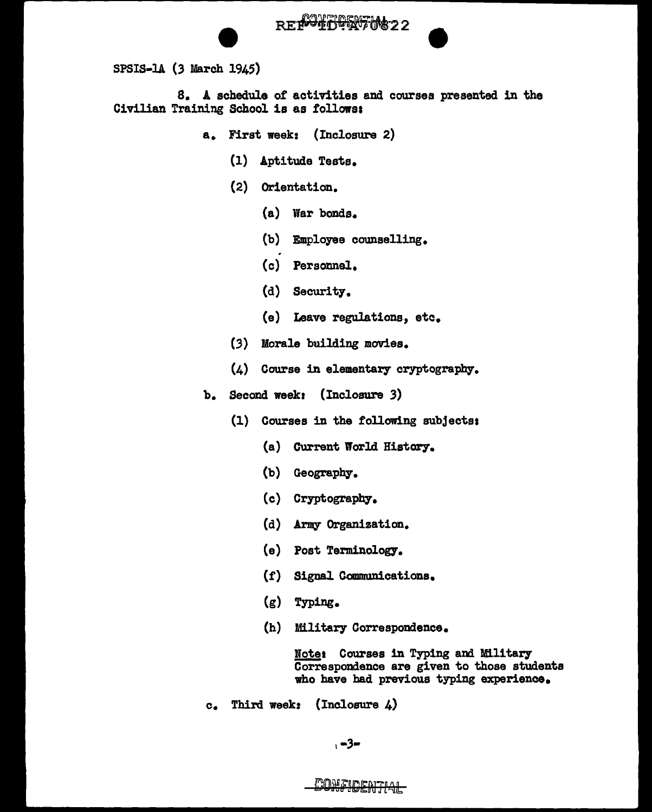

8. A schedule of activities and courses presented in the Civilian Training School is as followss

- a. First week: (Inclosure 2)
	- (1) Aptitude Tests.
	- (2) Orientation.
		- (a) lYar bonds.
		- (b) Employee counselling.
		- (c) Personnel.
		- (d) Security.
		- (e) Leave regulations, etc.
	- (3) Morale building movies.
	- $(4)$  Course in elementary cryptography.
- b. Second week: (Inclosure 3)
	- (1) Courses in the following subjectss
		- (a) Current World History.
		- (b) Geography.
		- (c) Cryptography.
		- (d) Army Organization.
		- (e) Post Terminology-.
		- (f') Signal Communications.
		- (g) Typing.
		- (h) Military Correspondence.

Note: Courses in Typing and Military correspondence are given to those students who have had previous typing experience.

c. Third week: (Incloaure 4)

# CONFIDENTIAL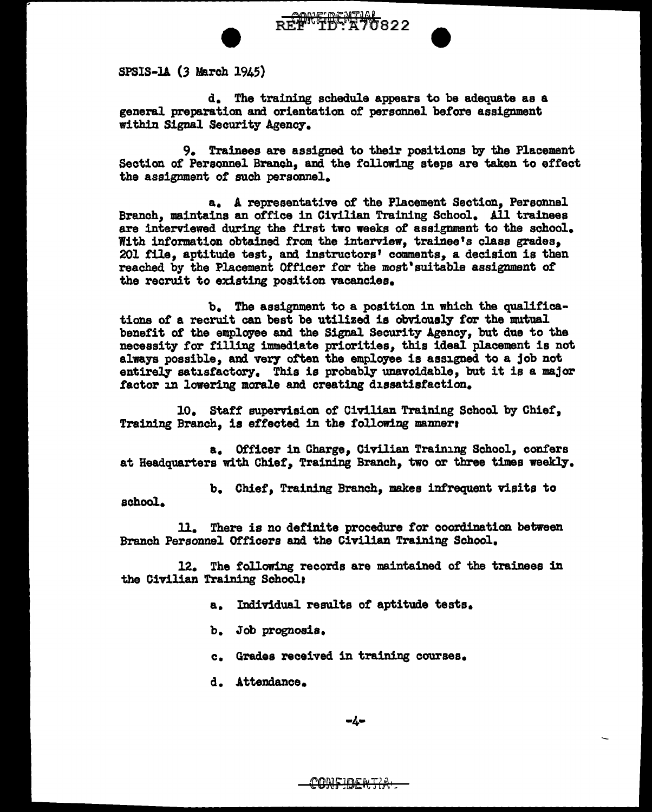

REPNED MA

SPSIS·lA (3 March 1945)

d. The training schedule appears to be adequate as a general preparation and orientation of personnel before assignment within Signal Security Agency.

9. Trainees are assigned to their positions by the Placement Section of Personnel Branch, and the following steps are taken to effect the assignment of such personnel.

a. A representative of the Placement Section, Personnel Branch, maintains an office in Civilian Training School. All trainees are interviewed during the first two weeks of assignment to the school. With information obtained from the interview, trainee's class grades, 201 file, aptitude test, and instructors' comments, a decision is then reached by the Placement Officer for the most'suitable assignment of the recruit to existing position vacancies.

b. The assignment to a position in which the qualifications of a recruit can best be utilized is obviously for the mutual benefit of the employee and the Signal Security Agency, but due to the necessity for filling immediate priorities, this ideal placement is not always possible, and very often the employee is assigned to a job not entirely satisfactory. This is probably unavoidable, but it is a major factor in lowering morale and creating dissatisfaction.

10. Staff supervision of Civilian Training School by Chief, Training Branch, is effected in the following manner:

a. Officer in Charge, Civilian Training School, confers at Headquarters with Chief, Training Branch, two or three times weekly.

b. Chief, Training Branch, makes infrequent visits to school.

ll. There is no definite procedure tor coordination between Branch Personnel Officers and the Civilian Training School.

12. The following records are maintained of the trainees in the Civilian Training School:

- a. Individual results of aptitude tests.
- b. Job prognosis.
- c. Grades received in training courses.
- d. Attendance.

$$
-4-
$$

<del>confidentia</del>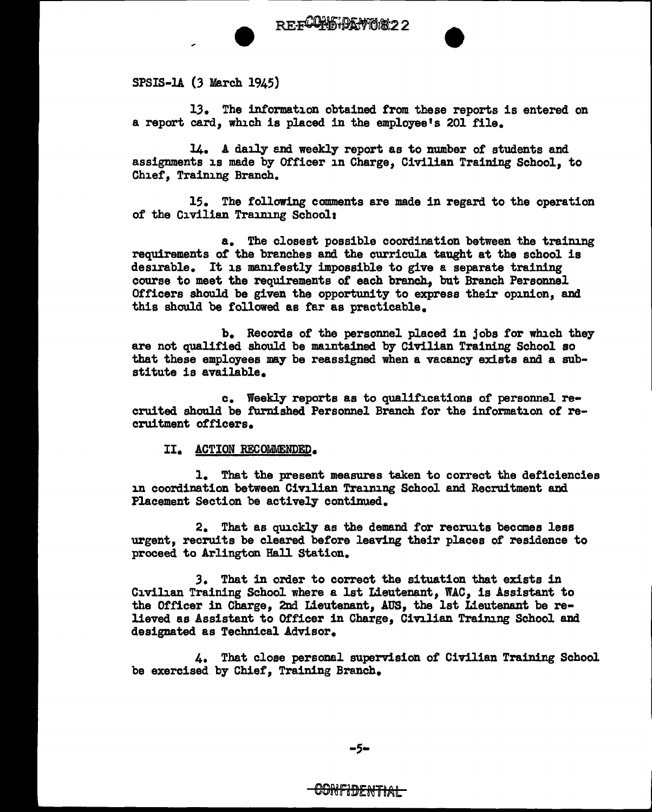

SPSIS-lA (3 March 1945)

13. The information obtained from these reports is entered on a report card, which is placed in the employee's 201 file.

•

14. A daily and weekly report as to number of students and assignments is made by Officer in Charge, Civilian Training School, to Chief, Training Branch.

15. The following comments are made in regard to the operation of the Civilian Training School:

a. The closest possible coordination between the training requirements of the branches and the curricula taught at the school is desirable. It is manifestly impossible to give a separate training course to meet the requirements of each branch., but Branch Personnel Officers should be given the opportunity to express their opinion, and this should be followed as far as practicable.

b. Records of the personnel placed in jobs for which they are not qualified should be maintained by Civilian Training School so that these employees may be reassigned when a vacancy exists and a substitute is available.

c. Weekly reports as to qualifications of personnel recruited should be furnished Personnel Branch for the information of recruitment officers.

II. ACTION RECOMMENDED.

l. That the present measures taken to correct the deficiencies in coordination between Civilian Training School and Recruitment and Placement Section be actively continued.

2. That as quickly as the demand for recruits becomes less urgent, recruits be cleared before leaving their places of residence to proceed to Arlington Hal1 Station.

*3.* That in order to correct the situation that exists in Civilian Training School where a 1st Lieutenant, WAC, is Assistant to the Officer in Charge, 2nd Lieutenant, AUS, the 1st Lieutenant be relieved as Assistant to Officer in Charge, Civilian Training School and designated as Technical Advisor.

4. That close personal supervision of Civilian Training School be exercised by Chief, Training Branch.

<del>-CONFIDENTIAI-</del>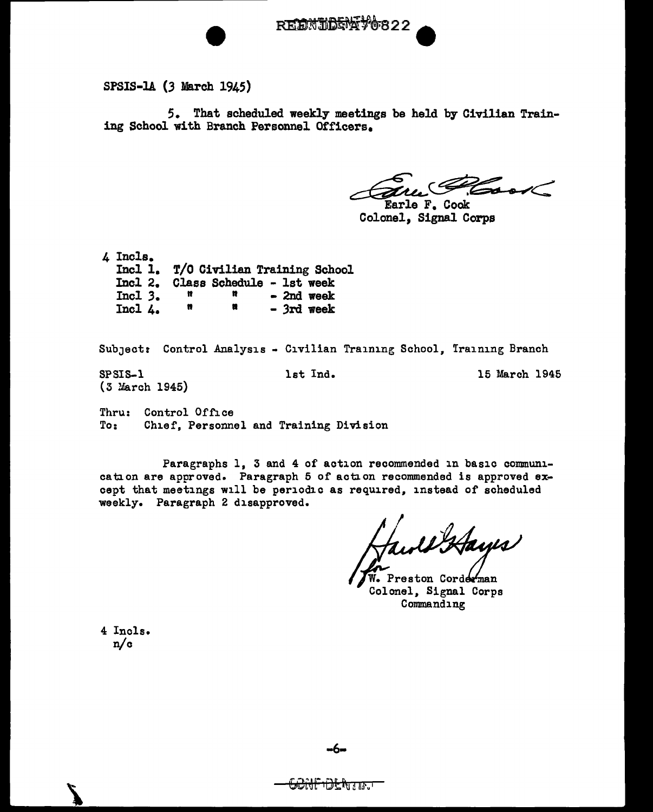

SPSIS·lA (3 March 1945)

5. That scheduled weekly meetings be held by Civilian Training School with Branch Personnel Officers.

Eure Root

Colonel, Signal Corps

4 Incls. Incl 1. T/O Civilian Training School Incl 2. Class Schedule - 1st week Incl *3.*  Incl 4.  $\begin{array}{ccc} \n\mathfrak{n} & \mathfrak{n} & -2\mathfrak{n} \n\mathfrak{n} & \mathfrak{n} & \n\end{array}$  $\mathfrak{n}$   $\mathfrak{n}$  - 3rd week

Subject: Control Analysis - Civilian Training School, Training Branch

(3 March 1945)

SPSIS-1 1st Ind. 15 March 1945

Thru: Control Office<br>To: Chief. Personne Chief, Personnel and Training Division

Paragraphs 1, 3 and 4 of action recommended in basic communication are approved. Paragraph 5 of action recommended is approved except that meetings will be periodic as required, instead of scheduled weekly. Paragraph 2 disapproved.

Wortayes

Preston Corderman Colonel, Signal Corps Commanding

4 Incls. n/c

 $\boldsymbol{V}$ 

ਇਲਗਿਲਾ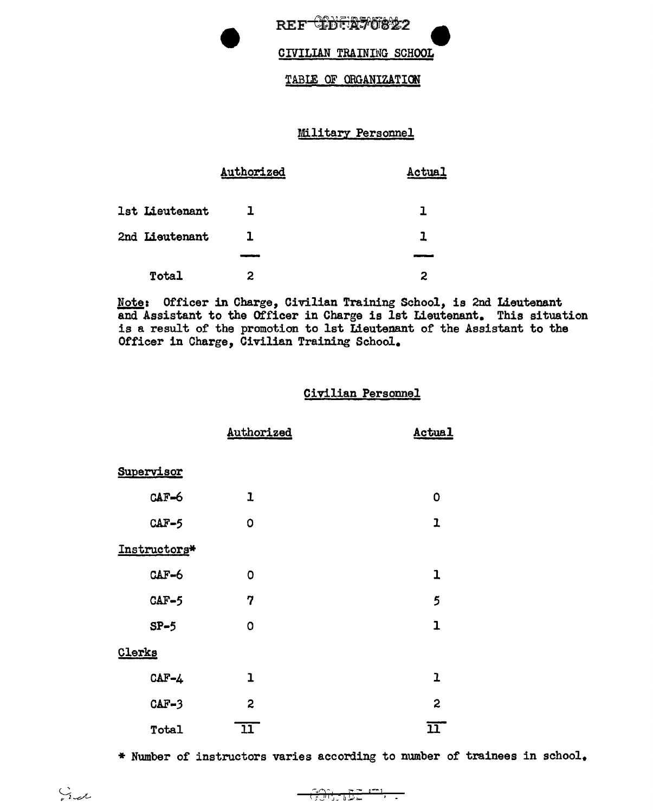REF<sup>-C</sup>LDFR70822

#### CIVILIAN TRAINING SCHOOL

#### TABLE OF ORGANIZATION

### Military Personnel

|                | Authorized | Actual |  |
|----------------|------------|--------|--|
| 1st Lieutenant |            | ı      |  |
| 2nd Lieutenant | ı.         | 7      |  |
|                |            |        |  |
| Total          | 2          | 2      |  |

Note: Officer in Charge, Civilian Training School, is 2nd Lieutenant and Assistant to the Officer in Charge is 1st Lieutenant. This situation is a result of the promotion to 1st Lieutenant of the Assistant to the Officer in Charge, Civilian Training School.

#### Civilian Personnel

|              | Authorized              | Actual                    |
|--------------|-------------------------|---------------------------|
| Supervisor   |                         |                           |
| $CAF-6$      | $\mathbf{I}$            | $\mathbf 0$               |
| $CAF-5$      | 0                       | $\mathbf{I}$              |
| Instructors* |                         |                           |
| CAF-6        | 0                       | 1                         |
| $CAF-5$      | 7                       | 5                         |
| $SP-5$       | 0                       | $\mathbf{I}$              |
| Clerks       |                         |                           |
| $CAF - 4$    | ı                       | ı                         |
| $CAF-3$      | $\overline{\mathbf{c}}$ | $\boldsymbol{z}$          |
| Total        | $\overline{11}$         | $\overline{\mathfrak{m}}$ |

\* Number of instructors varies according to number of trainees in school.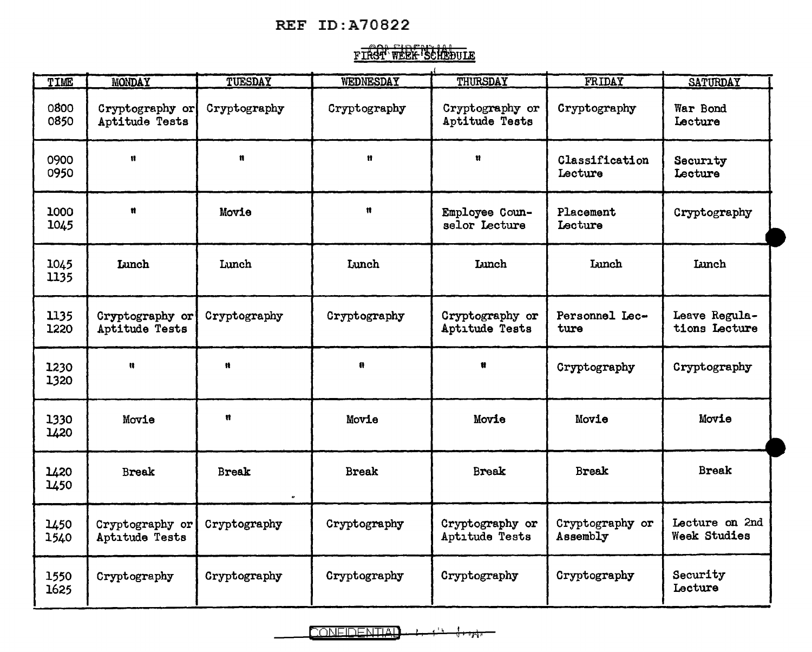## **REF ID:A70822**

# FIRST WEEK SCHEDULE

| TIME         | <b>MONDAY</b>                     | TUESDAY                      | WEDNESDAY    | THURSDAY                          | FRIDAY                      | <b>SATURDAY</b>                |
|--------------|-----------------------------------|------------------------------|--------------|-----------------------------------|-----------------------------|--------------------------------|
| 0800<br>0850 | Cryptography or<br>Aptitude Tests | Cryptography                 | Cryptography | Cryptography or<br>Aptitude Tests | Cryptography                | War Bond<br>Lecture            |
| 0900<br>0950 | 11                                | $\mathbf{u}$                 | Ħ            | u                                 | Classification<br>Lecture   | Security<br>Lecture            |
| 1000<br>1045 | Ħ                                 | Movie                        | $\mathbf{r}$ | Employee Coun-<br>selor Lecture   | Placement<br>Lecture        | Cryptography                   |
| 1045<br>1135 | Lunch                             | Lunch                        | Lunch        | <b>Lunch</b>                      | <b>Lunch</b>                | <b>Lunch</b>                   |
| 1135<br>1220 | Cryptography or<br>Aptitude Tests | Cryptography                 | Cryptography | Cryptography or<br>Aptitude Tests | Personnel Lec-<br>ture      | Leave Regula-<br>tions Lecture |
| 1230<br>1320 | Ħ                                 | Ħ                            | $\mathbf{n}$ |                                   | Cryptography                | Cryptography                   |
| 1330<br>1420 | Movie                             | Ħ                            | Movie        | Movie                             | Movie                       | Movie                          |
| 1420<br>1450 | <b>Break</b>                      | <b>Break</b><br>$\mathbf{r}$ | <b>Break</b> | <b>Break</b>                      | <b>Break</b>                | <b>Break</b>                   |
| 1450<br>1540 | Cryptography or<br>Aptıtude Tests | Cryptography                 | Cryptography | Cryptography or<br>Aptıtude Tests | Cryptography or<br>Assembly | Lecture on 2nd<br>Week Studies |
| 1550<br>1625 | Cryptography                      | Cryptography                 | Cryptography | Cryptography                      | Cryptography                | Security<br>Lecture            |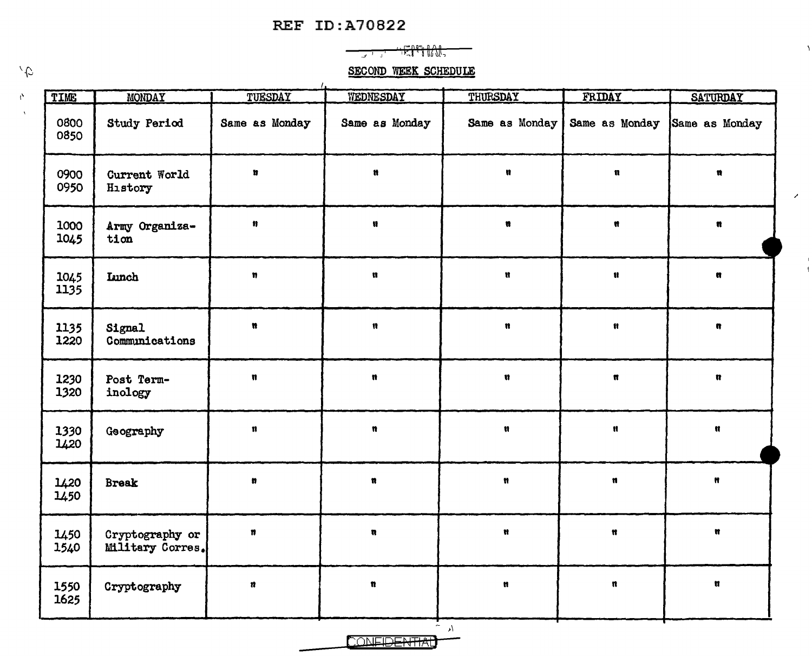## **REF ID:A70822**



١,

 $\mathcal{S}$ 

 $\overline{\phantom{a}}$  $\overline{1}$ 

**SECOND WEEK SCHEDULE** 

| TIME         | <b>MONDAY</b>                              | TUESDAY              | WEDNESDAY            | THURSDAY             | FRIDAY                        | <b>SATURDAY</b>      |
|--------------|--------------------------------------------|----------------------|----------------------|----------------------|-------------------------------|----------------------|
| 0800<br>0850 | Study Period                               | Same as Monday       | Same as Monday       | Same as Monday       | Same as Monday Same as Monday |                      |
| 0900<br>0950 | Current World<br>History                   | Ħ                    | Ħ                    | n                    | $\mathbf{n}$                  | $\pmb{\overline{n}}$ |
| 1000<br>1045 | Army Organiza-<br>tion                     | $\pmb{\mathfrak{y}}$ | $\pmb{u}$            | n                    | Ħ                             | $\pmb{n}$            |
| 1045<br>1135 | Lunch                                      | n                    | n.                   | $\mathbf{u}$         | $\mathbf{u}$                  | n.                   |
| 1135<br>1220 | Signal<br>Communications                   | $\pmb{n}$            | n                    | $\pmb{n}$            | Ħ                             | $\blacksquare$       |
| 1230<br>1320 | Post Term-<br>inology                      | $\mathfrak{n}$       | $\pmb{u}$            | $\mathfrak n$        | $\pmb{\mathfrak{m}}$          | $\mathbf{a}$         |
| 1330<br>1420 | Geography                                  | n                    | $\pmb{\mathfrak{n}}$ | Ħ                    | $\pmb{\mathfrak{h}}$          | $\pmb{\mathfrak{m}}$ |
| 1420<br>1450 | <b>Break</b>                               | ø                    | $\pmb{\mathfrak{n}}$ | $\pmb{n}$            | $\mathfrak n$                 | $\pmb{\mathfrak{m}}$ |
| 1450<br>1540 | Cryptography or<br><b>Military Corres.</b> | Ħ                    | $\pmb{\mathfrak{m}}$ | $\pmb{\mathfrak{m}}$ | $\pmb{\mathfrak{m}}$          | $\pmb{u}$            |
| 1550<br>1625 | Cryptography                               | $\pmb{n}$            | $\pmb{\mathfrak{n}}$ | u                    | $\mathfrak{n}$                | $\pmb{\mathfrak{m}}$ |

 $\mathbf{A}$ 

 $\mathcal{L}$ 

**CONFIDENTIAL**